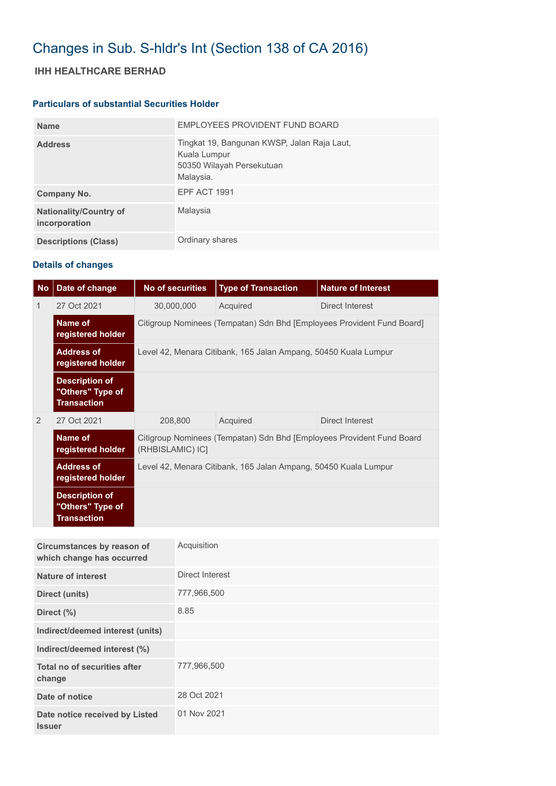# Changes in Sub. S-hldr's Int (Section 138 of CA 2016)

## **IHH HEALTHCARE BERHAD**

#### **Particulars of substantial Securities Holder**

| <b>Name</b>                                    | EMPLOYEES PROVIDENT FUND BOARD                                                                        |
|------------------------------------------------|-------------------------------------------------------------------------------------------------------|
| <b>Address</b>                                 | Tingkat 19, Bangunan KWSP, Jalan Raja Laut,<br>Kuala Lumpur<br>50350 Wilayah Persekutuan<br>Malaysia. |
| Company No.                                    | <b>EPF ACT 1991</b>                                                                                   |
| <b>Nationality/Country of</b><br>incorporation | Malaysia                                                                                              |
| <b>Descriptions (Class)</b>                    | Ordinary shares                                                                                       |

### **Details of changes**

| <b>No</b> | Date of change                                                  | <b>No of securities</b>                                                                   | <b>Type of Transaction</b> | <b>Nature of Interest</b> |  |
|-----------|-----------------------------------------------------------------|-------------------------------------------------------------------------------------------|----------------------------|---------------------------|--|
| 1         | 27 Oct 2021                                                     | 30,000,000                                                                                | Acquired                   | Direct Interest           |  |
|           | Name of<br>registered holder                                    | Citigroup Nominees (Tempatan) Sdn Bhd [Employees Provident Fund Board]                    |                            |                           |  |
|           | <b>Address of</b><br>registered holder                          | Level 42, Menara Citibank, 165 Jalan Ampang, 50450 Kuala Lumpur                           |                            |                           |  |
|           | <b>Description of</b><br>"Others" Type of<br><b>Transaction</b> |                                                                                           |                            |                           |  |
| 2         | 27 Oct 2021                                                     | 208,800                                                                                   | Acquired                   | Direct Interest           |  |
|           | Name of<br>registered holder                                    | Citigroup Nominees (Tempatan) Sdn Bhd [Employees Provident Fund Board<br>(RHBISLAMIC) IC] |                            |                           |  |
|           | <b>Address of</b><br>registered holder                          | Level 42, Menara Citibank, 165 Jalan Ampang, 50450 Kuala Lumpur                           |                            |                           |  |
|           | <b>Description of</b><br>"Others" Type of<br><b>Transaction</b> |                                                                                           |                            |                           |  |

| Circumstances by reason of<br>which change has occurred | Acquisition     |
|---------------------------------------------------------|-----------------|
| <b>Nature of interest</b>                               | Direct Interest |
| Direct (units)                                          | 777,966,500     |
| Direct (%)                                              | 8.85            |
| Indirect/deemed interest (units)                        |                 |
| Indirect/deemed interest (%)                            |                 |
| Total no of securities after<br>change                  | 777,966,500     |
| Date of notice                                          | 28 Oct 2021     |
| Date notice received by Listed<br><b>Issuer</b>         | 01 Nov 2021     |